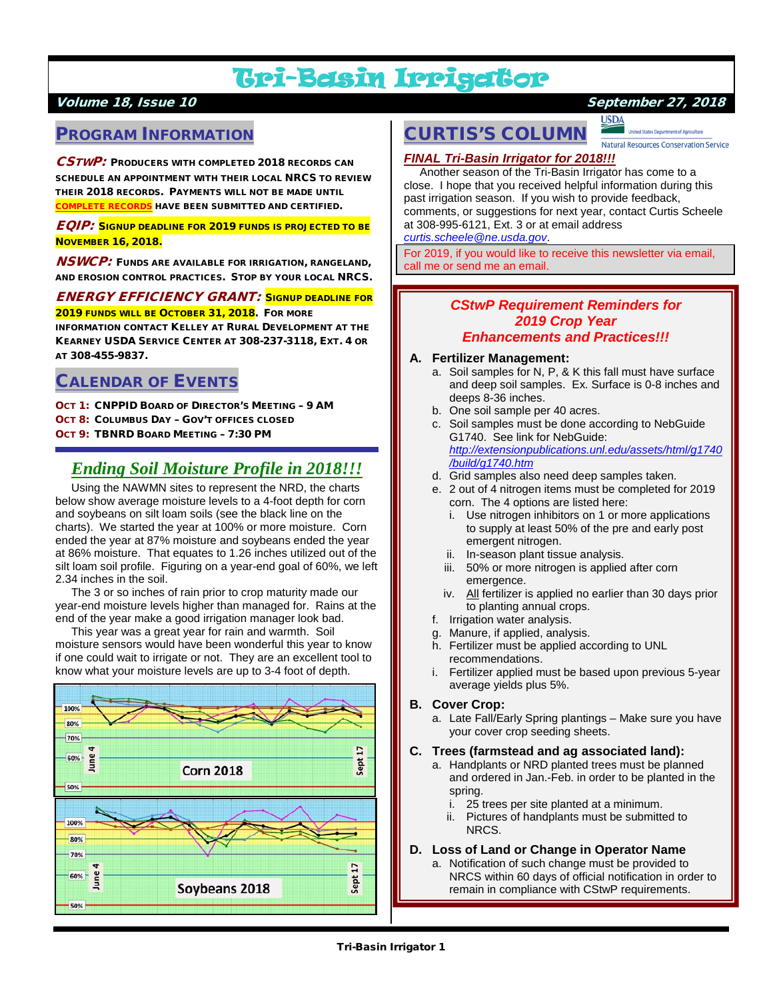# Tri-Basin Irrigator

## Volume 18, Issue 10 September 27, 2018

## PROGRAM INFORMATION

 $\mathcal{C}STWP$ : Producers with completed 2018 records can SCHEDULE AN APPOINTMENT WITH THEIR LOCAL NRCS TO REVIEW THEIR 2018 RECORDS. PAYMENTS WILL NOT BE MADE UNTIL <mark>COMPLETE RECORDS</mark> HAVE BEEN SUBMITTED AND CERTIFIED.

EQIP: SIGNUP DEADLINE FOR 2019 FUNDS IS PROJECTED TO BE **NOVEMBER 16, 2018.** 

**NSWCP:** FUNDS ARE AVAILABLE FOR IRRIGATION, RANGELAND, AND EROSION CONTROL PRACTICES. STOP BY YOUR LOCAL NRCS.

ENERGY EFFICIENCY GRANT: SIGNUP DEADLINE FOR 2019 FUNDS WILL BE OCTOBER 31, 2018. FOR MORE

INFORMATION CONTACT KELLEY AT RURAL DEVELOPMENT AT THE KEARNEY USDA SERVICE CENTER AT 308-237-3118, EXT. 4 OR AT 308-455-9837.

## CALENDAR OF EVENTS

OCT 1: CNPPID BOARD OF DIRECTOR'S MEETING – 9 AM OCT 8: COLUMBUS DAY – GOV'T OFFICES CLOSED OCT 9: TBNRD BOARD MEETING – 7:30 PM

## *Ending Soil Moisture Profile in 2018!!!*

 Using the NAWMN sites to represent the NRD, the charts below show average moisture levels to a 4-foot depth for corn and soybeans on silt loam soils (see the black line on the charts). We started the year at 100% or more moisture. Corn ended the year at 87% moisture and soybeans ended the year at 86% moisture. That equates to 1.26 inches utilized out of the silt loam soil profile. Figuring on a year-end goal of 60%, we left 2.34 inches in the soil.

 The 3 or so inches of rain prior to crop maturity made our year-end moisture levels higher than managed for. Rains at the end of the year make a good irrigation manager look bad.

 This year was a great year for rain and warmth. Soil moisture sensors would have been wonderful this year to know if one could wait to irrigate or not. They are an excellent tool to know what your moisture levels are up to 3-4 foot of depth.



# CURTIS'S COLUMN

<u>USDA</u> Natural Resources Conservation Service

## *FINAL Tri-Basin Irrigator for 2018!!!*

 Another season of the Tri-Basin Irrigator has come to a close. I hope that you received helpful information during this past irrigation season. If you wish to provide feedback, comments, or suggestions for next year, contact Curtis Scheele at 308-995-6121, Ext. 3 or at email address *[curtis.scheele@ne.usda.gov](mailto:curtis.scheele@ne.usda.gov)*.

For 2019, if you would like to receive this newsletter via email, call me or send me an email.

## *CStwP Requirement Reminders for 2019 Crop Year*

## *Enhancements and Practices!!!*

#### **A. Fertilizer Management:**

- a. Soil samples for N, P, & K this fall must have surface and deep soil samples. Ex. Surface is 0-8 inches and deeps 8-36 inches.
- b. One soil sample per 40 acres.
- c. Soil samples must be done according to NebGuide G1740. See link for NebGuide: *[http://extensionpublications.unl.edu/assets/html/g1740](http://extensionpublications.unl.edu/assets/html/g1740/build/g1740.htm) [/build/g1740.htm](http://extensionpublications.unl.edu/assets/html/g1740/build/g1740.htm)*
- d. Grid samples also need deep samples taken.
- e. 2 out of 4 nitrogen items must be completed for 2019 corn. The 4 options are listed here:
	- i. Use nitrogen inhibitors on 1 or more applications to supply at least 50% of the pre and early post emergent nitrogen.
	- ii. In-season plant tissue analysis.
	- iii. 50% or more nitrogen is applied after corn emergence.
	- iv. All fertilizer is applied no earlier than 30 days prior to planting annual crops.
- f. Irrigation water analysis.
- g. Manure, if applied, analysis.
- h. Fertilizer must be applied according to UNL recommendations.
- Fertilizer applied must be based upon previous 5-year average yields plus 5%.

#### **B. Cover Crop:**

a. Late Fall/Early Spring plantings – Make sure you have your cover crop seeding sheets.

#### **C. Trees (farmstead and ag associated land):**

- a. Handplants or NRD planted trees must be planned and ordered in Jan.-Feb. in order to be planted in the spring.
	- i. 25 trees per site planted at a minimum.
	- ii. Pictures of handplants must be submitted to NRCS.

#### **D. Loss of Land or Change in Operator Name**

a. Notification of such change must be provided to NRCS within 60 days of official notification in order to remain in compliance with CStwP requirements.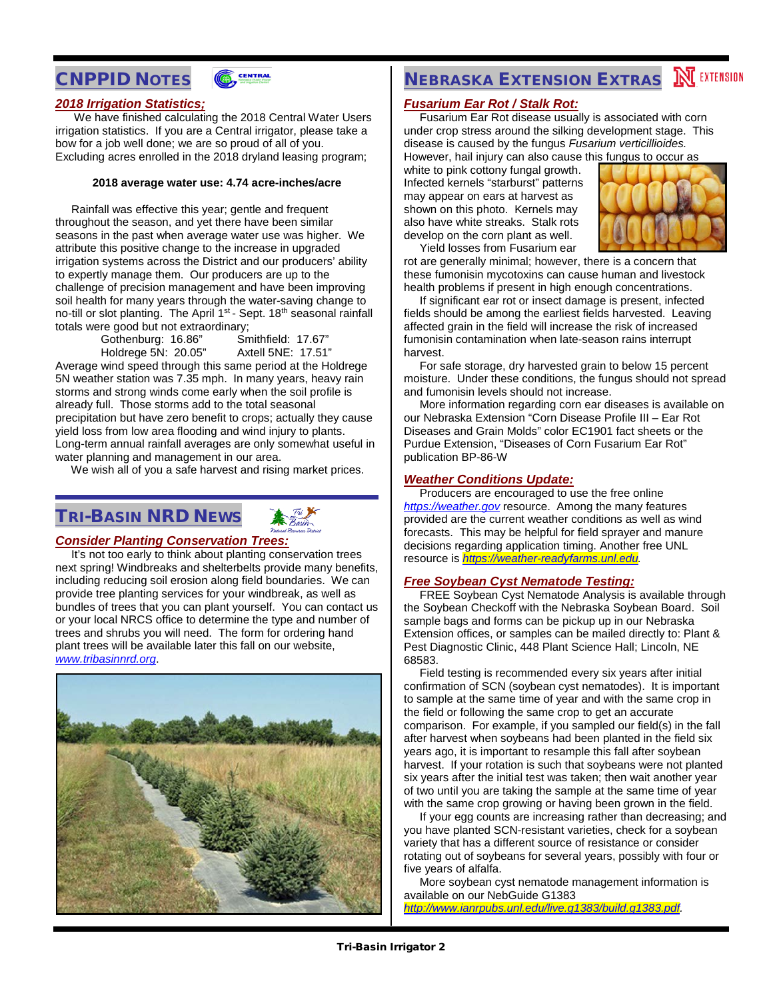# CNPPID NOTES



#### *2018 Irrigation Statistics;*

 We have finished calculating the 2018 Central Water Users irrigation statistics. If you are a Central irrigator, please take a bow for a job well done; we are so proud of all of you. Excluding acres enrolled in the 2018 dryland leasing program;

#### **2018 average water use: 4.74 acre-inches/acre**

 Rainfall was effective this year; gentle and frequent throughout the season, and yet there have been similar seasons in the past when average water use was higher. We attribute this positive change to the increase in upgraded irrigation systems across the District and our producers' ability to expertly manage them. Our producers are up to the challenge of precision management and have been improving soil health for many years through the water-saving change to no-till or slot planting. The April 1<sup>st</sup> - Sept. 18<sup>th</sup> seasonal rainfall totals were good but not extraordinary;<br>Gothenburg: 16.86" Smithfield: 17.67"

Gothenburg: 16.86" Smithfield: 17.67" Holdrege 5N: 20.05"

Average wind speed through this same period at the Holdrege 5N weather station was 7.35 mph. In many years, heavy rain storms and strong winds come early when the soil profile is already full. Those storms add to the total seasonal precipitation but have zero benefit to crops; actually they cause yield loss from low area flooding and wind injury to plants. Long-term annual rainfall averages are only somewhat useful in water planning and management in our area.

We wish all of you a safe harvest and rising market prices.

## TRI-BASIN NRD NEWS



### *Consider Planting Conservation Trees:*

It's not too early to think about planting conservation trees next spring! Windbreaks and shelterbelts provide many benefits, including reducing soil erosion along field boundaries. We can provide tree planting services for your windbreak, as well as bundles of trees that you can plant yourself. You can contact us or your local NRCS office to determine the type and number of trees and shrubs you will need. The form for ordering hand plant trees will be available later this fall on our website, *[www.tribasinnrd.org](http://www.tribasinnrd.org/)*.



# **NEBRASKA EXTENSION EXTRAS NEXTENSION**

## *Fusarium Ear Rot / Stalk Rot:*

 Fusarium Ear Rot disease usually is associated with corn under crop stress around the silking development stage. This disease is caused by the fungus *Fusarium verticillioides.*  However, hail injury can also cause this fungus to occur as

white to pink cottony fungal growth. Infected kernels "starburst" patterns may appear on ears at harvest as shown on this photo. Kernels may also have white streaks. Stalk rots develop on the corn plant as well.



 Yield losses from Fusarium ear rot are generally minimal; however, there is a concern that these fumonisin mycotoxins can cause human and livestock health problems if present in high enough concentrations.

 If significant ear rot or insect damage is present, infected fields should be among the earliest fields harvested. Leaving affected grain in the field will increase the risk of increased fumonisin contamination when late-season rains interrupt harvest.

 For safe storage, dry harvested grain to below 15 percent moisture. Under these conditions, the fungus should not spread and fumonisin levels should not increase.

 More information regarding corn ear diseases is available on our Nebraska Extension "Corn Disease Profile III – Ear Rot Diseases and Grain Molds" color EC1901 fact sheets or the Purdue Extension, "Diseases of Corn Fusarium Ear Rot" publication BP-86-W

#### *Weather Conditions Update:*

 Producers are encouraged to use the free online *[https://weather.gov](https://weather.gov/)* resource. Among the many features provided are the current weather conditions as well as wind forecasts. This may be helpful for field sprayer and manure decisions regarding application timing. Another free UNL resource is *[https://weather-readyfarms.unl.edu.](https://weather-readyfarms.unl.edu/)*

#### *Free Soybean Cyst Nematode Testing:*

 FREE Soybean Cyst Nematode Analysis is available through the Soybean Checkoff with the Nebraska Soybean Board. Soil sample bags and forms can be pickup up in our Nebraska Extension offices, or samples can be mailed directly to: Plant & Pest Diagnostic Clinic, 448 Plant Science Hall; Lincoln, NE 68583.

 Field testing is recommended every six years after initial confirmation of SCN (soybean cyst nematodes). It is important to sample at the same time of year and with the same crop in the field or following the same crop to get an accurate comparison. For example, if you sampled our field(s) in the fall after harvest when soybeans had been planted in the field six years ago, it is important to resample this fall after soybean harvest. If your rotation is such that soybeans were not planted six years after the initial test was taken; then wait another year of two until you are taking the sample at the same time of year with the same crop growing or having been grown in the field.

 If your egg counts are increasing rather than decreasing; and you have planted SCN-resistant varieties, check for a soybean variety that has a different source of resistance or consider rotating out of soybeans for several years, possibly with four or five years of alfalfa.

 More soybean cyst nematode management information is available on our NebGuide G1383

*[http://www.ianrpubs.unl.edu/live.g1383/build.g1383.pdf.](http://www.ianrpubs.unl.edu/live.g1383/build.g1383.pdf)*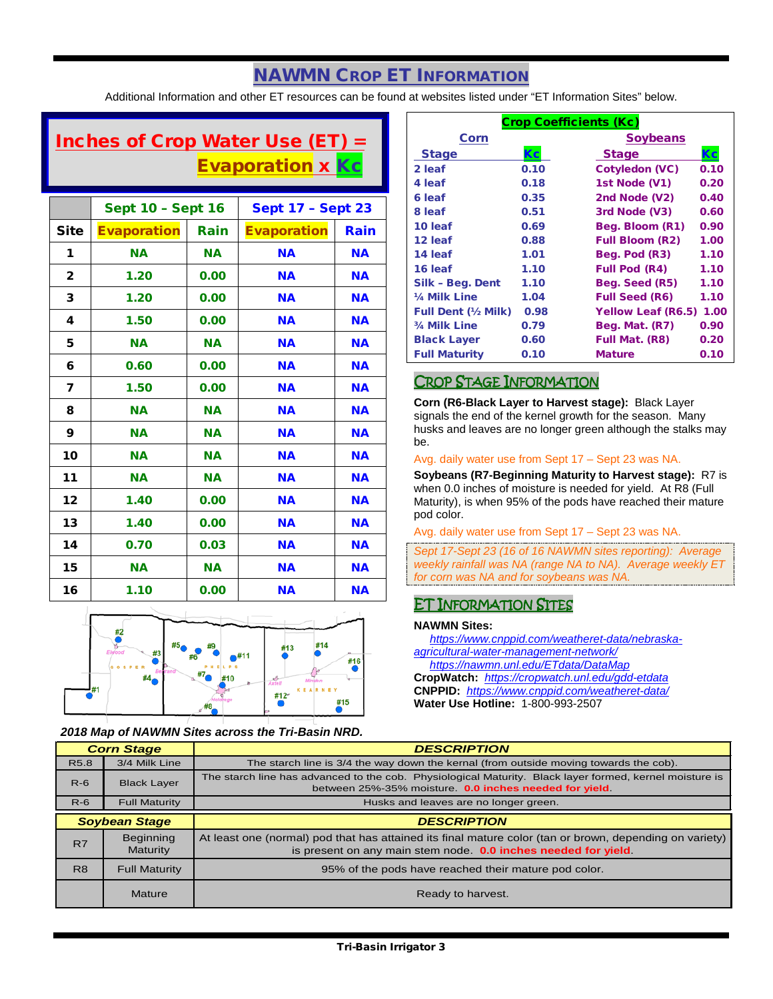## NAWMN CROP ET INFORMATION

Additional Information and other ET resources can be found at websites listed under "ET Information Sites" below.

# Inches of Crop Water Use (ET)  $=$ **Evaporation x Kc**

|              | <b>Sept 10 - Sept 16</b> |           | <b>Sept 17 - Sept 23</b> |           |
|--------------|--------------------------|-----------|--------------------------|-----------|
| <b>Site</b>  | <b>Evaporation</b>       | Rain      | <b>Evaporation</b>       | Rain      |
| 1            | <b>NA</b>                | <b>NA</b> | <b>NA</b>                | <b>NA</b> |
| $\mathbf{2}$ | 1.20                     | 0.00      | <b>NA</b>                | <b>NA</b> |
| 3            | 1.20                     | 0.00      | <b>NA</b>                | <b>NA</b> |
| 4            | 1.50                     | 0.00      | <b>NA</b>                | <b>NA</b> |
| 5            | <b>NA</b>                | <b>NA</b> | <b>NA</b>                | <b>NA</b> |
| 6            | 0.60                     | 0.00      | <b>NA</b>                | <b>NA</b> |
| 7            | 1.50                     | 0.00      | <b>NA</b>                | <b>NA</b> |
| 8            | <b>NA</b>                | <b>NA</b> | <b>NA</b>                | <b>NA</b> |
| 9            | <b>NA</b>                | <b>NA</b> | <b>NA</b>                | <b>NA</b> |
| 10           | <b>NA</b>                | <b>NA</b> | <b>NA</b>                | <b>NA</b> |
| 11           | <b>NA</b>                | <b>NA</b> | <b>NA</b>                | <b>NA</b> |
| 12           | 1.40                     | 0.00      | <b>NA</b>                | <b>NA</b> |
| 13           | 1.40                     | 0.00      | <b>NA</b>                | <b>NA</b> |
| 14           | 0.70                     | 0.03      | <b>NA</b>                | <b>NA</b> |
| 15           | <b>NA</b>                | <b>NA</b> | <b>NA</b>                | <b>NA</b> |
| 16           | 1.10                     | 0.00      | <b>NA</b>                | <b>NA</b> |



*2018 Map of NAWMN Sites across the Tri-Basin NRD.*

| <b>Crop Coefficients (Kc)</b> |      |                           |      |  |
|-------------------------------|------|---------------------------|------|--|
| Corn                          |      | <b>Soybeans</b>           |      |  |
| <b>Stage</b>                  | Кc   | <b>Stage</b>              |      |  |
| 2 leaf                        | 0.10 | Cotyledon (VC)            | 0.10 |  |
| 4 leaf                        | 0.18 | 1st Node (V1)             | 0.20 |  |
| 6 leaf                        | 0.35 | 2nd Node (V2)             | 0.40 |  |
| 8 leaf                        | 0.51 | 3rd Node (V3)             | 0.60 |  |
| 10 leaf                       | 0.69 | Beg. Bloom (R1)           | 0.90 |  |
| 12 leaf                       | 0.88 | <b>Full Bloom (R2)</b>    | 1.00 |  |
| 14 leaf                       | 1.01 | Beg. Pod (R3)             | 1.10 |  |
| 16 leaf                       | 1.10 | <b>Full Pod (R4)</b>      | 1.10 |  |
| Silk - Beg. Dent              | 1.10 | Beg. Seed (R5)            | 1.10 |  |
| 1/4 Milk Line                 | 1.04 | <b>Full Seed (R6)</b>     | 1.10 |  |
| <b>Full Dent (½ Milk)</b>     | 0.98 | <b>Yellow Leaf (R6.5)</b> | 1.00 |  |
| 3/4 Milk Line                 | 0.79 | <b>Beg. Mat. (R7)</b>     | 0.90 |  |
| <b>Black Layer</b>            | 0.60 | Full Mat. (R8)            | 0.20 |  |
| <b>Full Maturity</b>          | 0.10 | <b>Mature</b>             | 0.10 |  |

## CROP STAGE INFORMATION

**Corn (R6-Black Layer to Harvest stage):** Black Layer signals the end of the kernel growth for the season. Many husks and leaves are no longer green although the stalks may be.

#### Avg. daily water use from Sept 17 – Sept 23 was NA.

**Soybeans (R7-Beginning Maturity to Harvest stage):** R7 is when 0.0 inches of moisture is needed for yield. At R8 (Full Maturity), is when 95% of the pods have reached their mature pod color.

Avg. daily water use from Sept 17 – Sept 23 was NA.

*Sept 17-Sept 23 (16 of 16 NAWMN sites reporting): Average weekly rainfall was NA (range NA to NA). Average weekly ET for corn was NA and for soybeans was NA.*

## ET INFORMATION SITES

#### **NAWMN Sites:**

 *[https://www.cnppid.com/weatheret-data/nebraska](https://www.cnppid.com/weatheret-data/nebraska-agricultural-water-management-network/)[agricultural-water-management-network/](https://www.cnppid.com/weatheret-data/nebraska-agricultural-water-management-network/)*

*<https://nawmn.unl.edu/ETdata/DataMap>*

**CropWatch:** *<https://cropwatch.unl.edu/gdd-etdata>* **CNPPID:** *<https://www.cnppid.com/weatheret-data/>* **Water Use Hotline:** 1-800-993-2507

| <b>Corn Stage</b>    |                       | <b>DESCRIPTION</b>                                                                                                                                                        |  |
|----------------------|-----------------------|---------------------------------------------------------------------------------------------------------------------------------------------------------------------------|--|
| R <sub>5.8</sub>     | 3/4 Milk Line         | The starch line is 3/4 the way down the kernal (from outside moving towards the cob).                                                                                     |  |
| $R-6$                | <b>Black Layer</b>    | The starch line has advanced to the cob. Physiological Maturity. Black layer formed, kernel moisture is<br>between 25%-35% moisture. <b>0.0 inches needed for yield</b>   |  |
| $R-6$                | <b>Full Maturity</b>  | Husks and leaves are no longer green.                                                                                                                                     |  |
| <b>Soybean Stage</b> |                       | <b>DESCRIPTION</b>                                                                                                                                                        |  |
| R7                   | Beginning<br>Maturity | At least one (normal) pod that has attained its final mature color (tan or brown, depending on variety)<br>is present on any main stem node. 0.0 inches needed for yield. |  |
| R <sub>8</sub>       | <b>Full Maturity</b>  | 95% of the pods have reached their mature pod color.                                                                                                                      |  |
|                      | Mature                | Ready to harvest.                                                                                                                                                         |  |